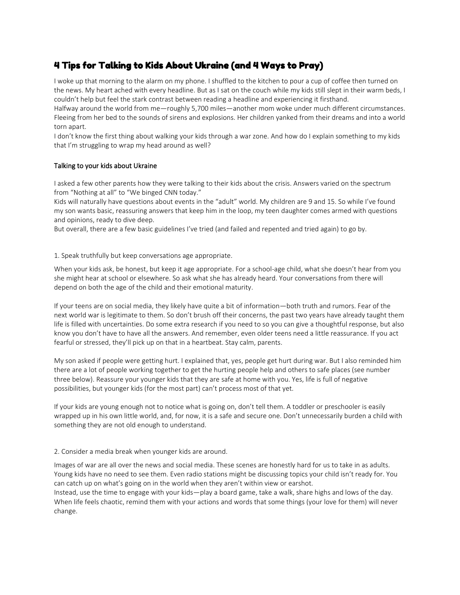# 4 Tips for Talking to Kids About Ukraine (and 4 Ways to Pray)

I woke up that morning to the alarm on my phone. I shuffled to the kitchen to pour a cup of coffee then turned on the news. My heart ached with every headline. But as I sat on the couch while my kids still slept in their warm beds, I couldn't help but feel the stark contrast between reading a headline and experiencing it firsthand.

Halfway around the world from me—roughly 5,700 miles—another mom woke under much different circumstances. Fleeing from her bed to the sounds of sirens and explosions. Her children yanked from their dreams and into a world torn apart.

I don't know the first thing about walking your kids through a war zone. And how do I explain something to my kids that I'm struggling to wrap my head around as well?

## Talking to your kids about Ukraine

I asked a few other parents how they were talking to their kids about the crisis. Answers varied on the spectrum from "Nothing at all" to "We binged CNN today."

Kids will naturally have questions about events in the "adult" world. My children are 9 and 15. So while I've found my son wants basic, reassuring answers that keep him in the loop, my teen daughter comes armed with questions and opinions, ready to dive deep.

But overall, there are a few basic guidelines I've tried (and failed and repented and tried again) to go by.

#### 1. Speak truthfully but keep conversations age appropriate.

When your kids ask, be honest, but keep it age appropriate. For a school-age child, what she doesn't hear from you she might hear at school or elsewhere. So ask what she has already heard. Your conversations from there will depend on both the age of the child and their emotional maturity.

If your teens are on social media, they likely have quite a bit of information—both truth and rumors. Fear of the next world war is legitimate to them. So don't brush off their concerns, the past two years have already taught them life is filled with uncertainties. Do some extra research if you need to so you can give a thoughtful response, but also know you don't have to have all the answers. And remember, even older teens need a little reassurance. If you act fearful or stressed, they'll pick up on that in a heartbeat. Stay calm, parents.

My son asked if people were getting hurt. I explained that, yes, people get hurt during war. But I also reminded him there are a lot of people working together to get the hurting people help and others to safe places (see number three below). Reassure your younger kids that they are safe at home with you. Yes, life is full of negative possibilities, but younger kids (for the most part) can't process most of that yet.

If your kids are young enough not to notice what is going on, don't tell them. A toddler or preschooler is easily wrapped up in his own little world, and, for now, it is a safe and secure one. Don't unnecessarily burden a child with something they are not old enough to understand.

### 2. Consider a media break when younger kids are around.

Images of war are all over the news and social media. These scenes are honestly hard for us to take in as adults. Young kids have no need to see them. Even radio stations might be discussing topics your child isn't ready for. You can catch up on what's going on in the world when they aren't within view or earshot.

Instead, use the time to engage with your kids—play a board game, take a walk, share highs and lows of the day. When life feels chaotic, remind them with your actions and words that some things (your love for them) will never change.